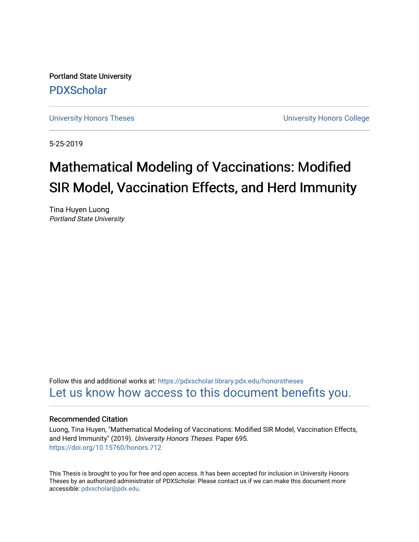Portland State University [PDXScholar](https://pdxscholar.library.pdx.edu/)

[University Honors Theses](https://pdxscholar.library.pdx.edu/honorstheses) **University Honors College** 

5-25-2019

# Mathematical Modeling of Vaccinations: Modified SIR Model, Vaccination Effects, and Herd Immunity

Tina Huyen Luong Portland State University

Follow this and additional works at: [https://pdxscholar.library.pdx.edu/honorstheses](https://pdxscholar.library.pdx.edu/honorstheses?utm_source=pdxscholar.library.pdx.edu%2Fhonorstheses%2F695&utm_medium=PDF&utm_campaign=PDFCoverPages)  [Let us know how access to this document benefits you.](http://library.pdx.edu/services/pdxscholar-services/pdxscholar-feedback/) 

#### Recommended Citation

Luong, Tina Huyen, "Mathematical Modeling of Vaccinations: Modified SIR Model, Vaccination Effects, and Herd Immunity" (2019). University Honors Theses. Paper 695. <https://doi.org/10.15760/honors.712>

This Thesis is brought to you for free and open access. It has been accepted for inclusion in University Honors Theses by an authorized administrator of PDXScholar. Please contact us if we can make this document more accessible: [pdxscholar@pdx.edu.](mailto:pdxscholar@pdx.edu)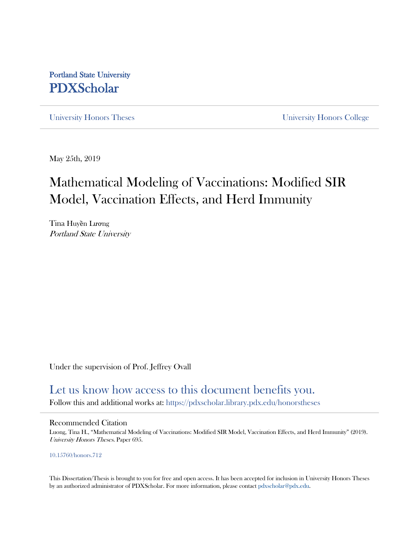# Portland State University PDXScholar

University Honors Theses University Honors College

May 25th, 2019

# Mathematical Modeling of Vaccinations: Modified SIR Model, Vaccination Effects, and Herd Immunity

Tina Huyền Lương Portland State University

Under the supervision of Prof. Jeffrey Ovall

# Let us know how access to this document benefits you.

Follow this and additional works at: https://pdxscholar.library.pdx.edu/honorstheses

#### Recommended Citation

Luong, Tina H., "Mathematical Modeling of Vaccinations: Modified SIR Model, Vaccination Effects, and Herd Immunity" (2019). University Honors Theses. Paper 695.

#### 10.15760/honors.712

This Dissertation/Thesis is brought to you for free and open access. It has been accepted for inclusion in University Honors Theses by an authorized administrator of PDXScholar. For more information, please contact pdxscholar@pdx.edu.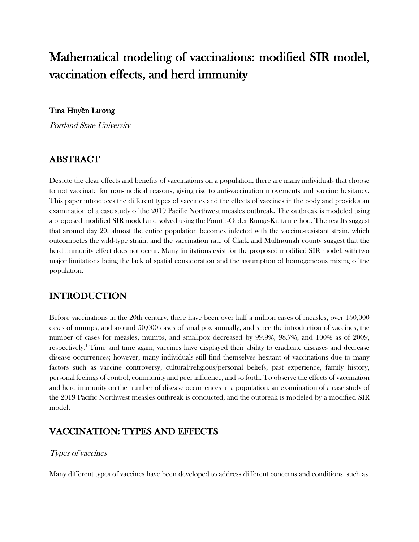# Mathematical modeling of vaccinations: modified SIR model, vaccination effects, and herd immunity

## Tina Huy**ề**n L**ươ**ng

Portland State University

# ABSTRACT

Despite the clear effects and benefits of vaccinations on a population, there are many individuals that choose to not vaccinate for non-medical reasons, giving rise to anti-vaccination movements and vaccine hesitancy. This paper introduces the different types of vaccines and the effects of vaccines in the body and provides an examination of a case study of the 2019 Pacific Northwest measles outbreak. The outbreak is modeled using a proposed modified SIR model and solved using the Fourth-Order Runge-Kutta method. The results suggest that around day 20, almost the entire population becomes infected with the vaccine-resistant strain, which outcompetes the wild-type strain, and the vaccination rate of Clark and Multnomah county suggest that the herd immunity effect does not occur. Many limitations exist for the proposed modified SIR model, with two major limitations being the lack of spatial consideration and the assumption of homogeneous mixing of the population.

## INTRODUCTION

Before vaccinations in the 20th century, there have been over half a million cases of measles, over 150,000 cases of mumps, and around 50,000 cases of smallpox annually, and since the introduction of vaccines, the number of cases for measles, mumps, and smallpox decreased by 99.9%, 98.7%, and 100% as of 2009, respectively. 1 Time and time again, vaccines have displayed their ability to eradicate diseases and decrease disease occurrences; however, many individuals still find themselves hesitant of vaccinations due to many factors such as vaccine controversy, cultural/religious/personal beliefs, past experience, family history, personal feelings of control, community and peer influence, and so forth. To observe the effects of vaccination and herd immunity on the number of disease occurrences in a population, an examination of a case study of the 2019 Pacific Northwest measles outbreak is conducted, and the outbreak is modeled by a modified SIR model.

## VACCINATION: TYPES AND EFFECTS

## Types of vaccines

Many different types of vaccines have been developed to address different concerns and conditions, such as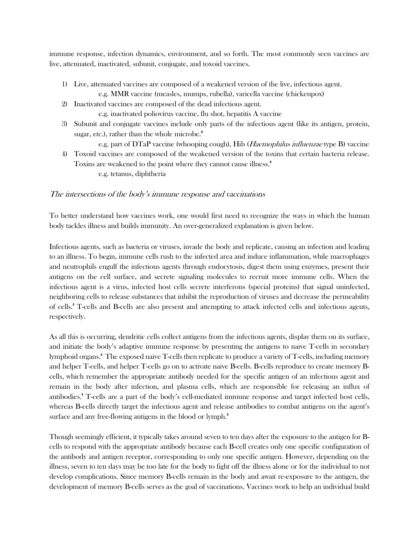immune response, infection dynamics, environment, and so forth. The most commonly seen vaccines are live, attenuated, inactivated, subunit, conjugate, and toxoid vaccines.

- 1) Live, attenuated vaccines are composed of a weakened version of the live, infectious agent.
	- e.g. MMR vaccine (measles, mumps, rubella), varicella vaccine (chickenpox)
- 2) Inactivated vaccines are composed of the dead infectious agent.
	- e.g. inactivated poliovirus vaccine, flu shot, hepatitis A vaccine
- 3) Subunit and conjugate vaccines include only parts of the infectious agent (like its antigen, protein, sugar, etc.), rather than the whole microbe.<sup>2</sup>
- e.g. part of DTaP vaccine (whooping cough), Hib (Haemophilus influenzae type B) vaccine 4) Toxoid vaccines are composed of the weakened version of the toxins that certain bacteria release. Toxins are weakened to the point where they cannot cause illness.<sup>2</sup>
	- e.g. tetanus, diphtheria

### The intersections of the body's immune response and vaccinations

To better understand how vaccines work, one would first need to recognize the ways in which the human body tackles illness and builds immunity. An over-generalized explanation is given below.

Infectious agents, such as bacteria or viruses, invade the body and replicate, causing an infection and leading to an illness. To begin, immune cells rush to the infected area and induce inflammation, while macrophages and neutrophils engulf the infectious agents through endocytosis, digest them using enzymes, present their antigens on the cell surface, and secrete signaling molecules to recruit more immune cells. When the infectious agent is a virus, infected host cells secrete interferons (special proteins) that signal uninfected, neighboring cells to release substances that inhibit the reproduction of viruses and decrease the permeability of cells. 3 T-cells and B-cells are also present and attempting to attack infected cells and infectious agents, respectively.

As all this is occurring, dendritic cells collect antigens from the infectious agents, display them on its surface, and initiate the body's adaptive immune response by presenting the antigens to naive T-cells in secondary lymphoid organs. 4 The exposed naive T-cells then replicate to produce a variety of T-cells, including memory and helper T-cells, and helper T-cells go on to activate naive B-cells. B-cells reproduce to create memory Bcells, which remember the appropriate antibody needed for the specific antigen of an infectious agent and remain in the body after infection, and plasma cells, which are responsible for releasing an influx of antibodies.<sup>8</sup> T-cells are a part of the body's cell-mediated immune response and target infected host cells, whereas B-cells directly target the infectious agent and release antibodies to combat antigens on the agent's surface and any free-flowing antigens in the blood or lymph. 3

Though seemingly efficient, it typically takes around seven to ten days after the exposure to the antigen for Bcells to respond with the appropriate antibody because each B-cell creates only one specific configuration of the antibody and antigen receptor, corresponding to only one specific antigen. However, depending on the illness, seven to ten days may be too late for the body to fight off the illness alone or for the individual to not develop complications. Since memory B-cells remain in the body and await re-exposure to the antigen, the development of memory B-cells serves as the goal of vaccinations. Vaccines work to help an individual build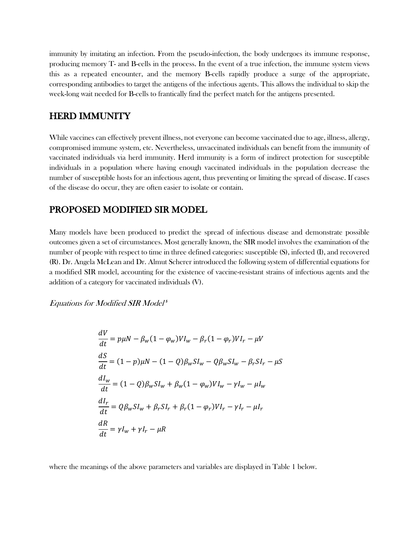immunity by imitating an infection. From the pseudo-infection, the body undergoes its immune response, producing memory T- and B-cells in the process. In the event of a true infection, the immune system views this as a repeated encounter, and the memory B-cells rapidly produce a surge of the appropriate, corresponding antibodies to target the antigens of the infectious agents. This allows the individual to skip the week-long wait needed for B-cells to frantically find the perfect match for the antigens presented.

### HERD IMMUNITY

While vaccines can effectively prevent illness, not everyone can become vaccinated due to age, illness, allergy, compromised immune system, etc. Nevertheless, unvaccinated individuals can benefit from the immunity of vaccinated individuals via herd immunity. Herd immunity is a form of indirect protection for susceptible individuals in a population where having enough vaccinated individuals in the population decrease the number of susceptible hosts for an infectious agent, thus preventing or limiting the spread of disease. If cases of the disease do occur, they are often easier to isolate or contain.

### PROPOSED MODIFIED SIR MODEL

Many models have been produced to predict the spread of infectious disease and demonstrate possible outcomes given a set of circumstances. Most generally known, the SIR model involves the examination of the number of people with respect to time in three defined categories: susceptible (S), infected (I), and recovered (R). Dr. Angela McLean and Dr. Almut Scherer introduced the following system of differential equations for a modified SIR model, accounting for the existence of vaccine-resistant strains of infectious agents and the addition of a category for vaccinated individuals (V).

Equations for Modified SIR Model<sup>5</sup>

$$
\frac{dV}{dt} = p\mu N - \beta_w (1 - \varphi_w) V I_w - \beta_r (1 - \varphi_r) V I_r - \mu V
$$
  
\n
$$
\frac{dS}{dt} = (1 - p)\mu N - (1 - Q)\beta_w S I_w - Q\beta_w S I_w - \beta_r S I_r - \mu S
$$
  
\n
$$
\frac{dI_w}{dt} = (1 - Q)\beta_w S I_w + \beta_w (1 - \varphi_w) V I_w - \gamma I_w - \mu I_w
$$
  
\n
$$
\frac{dI_r}{dt} = Q\beta_w S I_w + \beta_r S I_r + \beta_r (1 - \varphi_r) V I_r - \gamma I_r - \mu I_r
$$
  
\n
$$
\frac{dR}{dt} = \gamma I_w + \gamma I_r - \mu R
$$

where the meanings of the above parameters and variables are displayed in Table 1 below.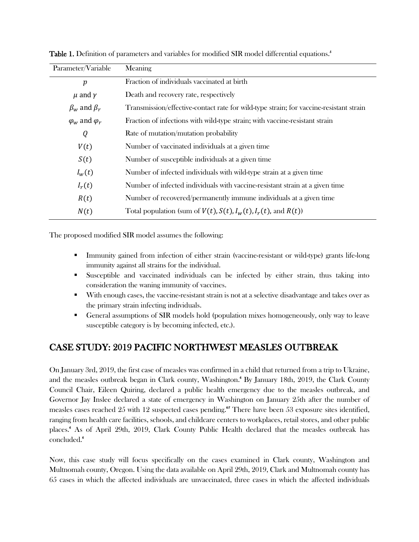| Parameter/Variable          | Meaning                                                                                |
|-----------------------------|----------------------------------------------------------------------------------------|
| $\boldsymbol{p}$            | Fraction of individuals vaccinated at birth                                            |
| $\mu$ and $\gamma$          | Death and recovery rate, respectively                                                  |
| $\beta_w$ and $\beta_r$     | Transmission/effective-contact rate for wild-type strain; for vaccine-resistant strain |
| $\varphi_w$ and $\varphi_r$ | Fraction of infections with wild-type strain; with vaccine-resistant strain            |
| Q                           | Rate of mutation/mutation probability                                                  |
| V(t)                        | Number of vaccinated individuals at a given time                                       |
| S(t)                        | Number of susceptible individuals at a given time                                      |
| $I_w(t)$                    | Number of infected individuals with wild-type strain at a given time                   |
| $I_r(t)$                    | Number of infected individuals with vaccine-resistant strain at a given time           |
| R(t)                        | Number of recovered/permanently immune individuals at a given time                     |
| N(t)                        | Total population (sum of $V(t)$ , $S(t)$ , $I_w(t)$ , $I_r(t)$ , and $R(t)$ )          |

Table 1. Definition of parameters and variables for modified SIR model differential equations.<sup>5</sup>

The proposed modified SIR model assumes the following:

- Immunity gained from infection of either strain (vaccine-resistant or wild-type) grants life-long immunity against all strains for the individual.
- § Susceptible and vaccinated individuals can be infected by either strain, thus taking into consideration the waning immunity of vaccines.
- § With enough cases, the vaccine-resistant strain is not at a selective disadvantage and takes over as the primary strain infecting individuals.
- General assumptions of SIR models hold (population mixes homogeneously, only way to leave susceptible category is by becoming infected, etc.).

## CASE STUDY: 2019 PACIFIC NORTHWEST MEASLES OUTBREAK

On January 3rd, 2019, the first case of measles was confirmed in a child that returned from a trip to Ukraine, and the measles outbreak began in Clark county, Washington. 6 By January 18th, 2019, the Clark County Council Chair, Eileen Quiring, declared a public health emergency due to the measles outbreak, and Governor Jay Inslee declared a state of emergency in Washington on January 25th after the number of measles cases reached 25 with 12 suspected cases pending.<sup>67</sup> There have been 53 exposure sites identified, ranging from health care facilities, schools, and childcare centers to workplaces, retail stores, and other public places.6 As of April 29th, 2019, Clark County Public Health declared that the measles outbreak has concluded.<sup>6</sup>

Now, this case study will focus specifically on the cases examined in Clark county, Washington and Multnomah county, Oregon. Using the data available on April 29th, 2019, Clark and Multnomah county has 65 cases in which the affected individuals are unvaccinated, three cases in which the affected individuals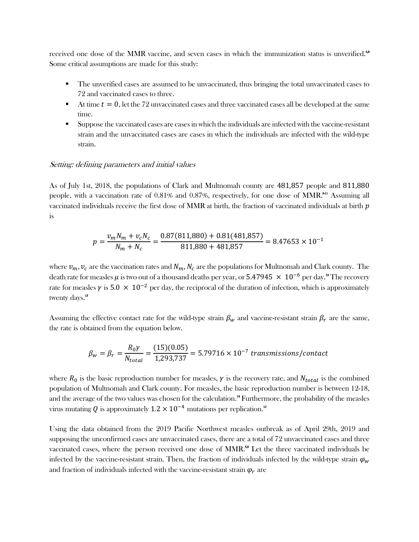received one dose of the MMR vaccine, and seven cases in which the immunization status is unverified.<sup>6,8</sup> Some critical assumptions are made for this study:

- § The unverified cases are assumed to be unvaccinated, thus bringing the total unvaccinated cases to 72 and vaccinated cases to three.
- $\blacksquare$  At time  $t = 0$ , let the 72 unvaccinated cases and three vaccinated cases all be developed at the same time.
- § Suppose the vaccinated cases are cases in which the individuals are infected with the vaccine-resistant strain and the unvaccinated cases are cases in which the individuals are infected with the wild-type strain.

#### Setting: defining parameters and initial values

As of July 1st, 2018, the populations of Clark and Multnomah county are 481,857 people and 811,880 people, with a vaccination rate of 0.81% and 0.87%, respectively, for one dose of MMR.<sup>911</sup> Assuming all vaccinated individuals receive the first dose of MMR at birth, the fraction of vaccinated individuals at birth  $p$ is

$$
p = \frac{v_m N_m + v_c N_c}{N_m + N_c} = \frac{0.87(811,880) + 0.81(481,857)}{811,880 + 481,857} = 8.47653 \times 10^{-1}
$$

where  $v_m$ ,  $v_c$  are the vaccination rates and  $N_m$ ,  $N_c$  are the populations for Multnomah and Clark county. The death rate for measles  $\mu$  is two out of a thousand deaths per year, or  $5.47945~\times~10^{-6}$  per day." The recovery rate for measles  $\gamma$  is 5.0  $\times$  10<sup>-2</sup> per day, the reciprocal of the duration of infection, which is approximately twenty days.<sup>13</sup>

Assuming the effective contact rate for the wild-type strain  $\beta_w$  and vaccine-resistant strain  $\beta_r$  are the same, the rate is obtained from the equation below.

$$
\beta_w = \beta_r = \frac{R_0 \gamma}{N_{total}} = \frac{(15)(0.05)}{1,293,737} = 5.79716 \times 10^{-7} \text{ transmissions/contact}
$$

where  $R_0$  is the basic reproduction number for measles,  $\gamma$  is the recovery rate, and  $N_{total}$  is the combined population of Multnomah and Clark county. For measles, the basic reproduction number is between 12-18, and the average of the two values was chosen for the calculation. <sup>14</sup> Furthermore, the probability of the measles virus mutating  $Q$  is approximately  $1.2 \times 10^{-4}$  mutations per replication."

Using the data obtained from the 2019 Pacific Northwest measles outbreak as of April 29th, 2019 and supposing the unconfirmed cases are unvaccinated cases, there are a total of 72 unvaccinated cases and three vaccinated cases, where the person received one dose of MMR.<sup>68</sup> Let the three vaccinated individuals be infected by the vaccine-resistant strain. Then, the fraction of individuals infected by the wild-type strain  $\varphi_w$ and fraction of individuals infected with the vaccine-resistant strain  $\varphi_r$  are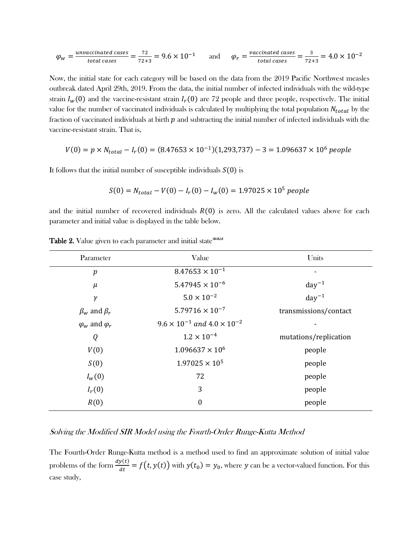$$
\varphi_w = \frac{\text{unvaccinated cases}}{\text{total cases}} = \frac{72}{72+3} = 9.6 \times 10^{-1} \qquad \text{and} \qquad \varphi_r = \frac{\text{vaccinated cases}}{\text{total cases}} = \frac{3}{72+3} = 4.0 \times 10^{-2}
$$

Now, the initial state for each category will be based on the data from the 2019 Pacific Northwest measles outbreak dated April 29th, 2019. From the data, the initial number of infected individuals with the wild-type strain  $I_w(0)$  and the vaccine-resistant strain  $I_r(0)$  are 72 people and three people, respectively. The initial value for the number of vaccinated individuals is calculated by multiplying the total population  $N_{total}$  by the fraction of vaccinated individuals at birth  $p$  and subtracting the initial number of infected individuals with the vaccine-resistant strain. That is,

$$
V(0) = p \times N_{total} - I_r(0) = (8.47653 \times 10^{-1})(1,293,737) - 3 = 1.096637 \times 10^6
$$
 people

It follows that the initial number of susceptible individuals  $S(0)$  is

$$
S(0) = N_{total} - V(0) - I_r(0) - I_w(0) = 1.97025 \times 10^5 \, people
$$

and the initial number of recovered individuals  $R(0)$  is zero. All the calculated values above for each parameter and initial value is displayed in the table below.

| Parameter                   | Value                                         | Units                 |
|-----------------------------|-----------------------------------------------|-----------------------|
| $\boldsymbol{p}$            | $8.47653 \times 10^{-1}$                      | -                     |
| $\mu$                       | $5.47945 \times 10^{-6}$                      | $day^{-1}$            |
| $\gamma$                    | $5.0 \times 10^{-2}$                          | $day^{-1}$            |
| $\beta_w$ and $\beta_r$     | $5.79716 \times 10^{-7}$                      | transmissions/contact |
| $\varphi_w$ and $\varphi_r$ | $9.6 \times 10^{-1}$ and $4.0 \times 10^{-2}$ | $\blacksquare$        |
| Q                           | $1.2 \times 10^{-4}$                          | mutations/replication |
| V(0)                        | $1.096637 \times 10^6$                        | people                |
| S(0)                        | $1.97025 \times 10^5$                         | people                |
| $I_w(0)$                    | 72                                            | people                |
| $I_r(0)$                    | 3                                             | people                |
| R(0)                        | $\boldsymbol{0}$                              | people                |
|                             |                                               |                       |

Table 2. Value given to each parameter and initial state<sup>1243,15</sup>

#### Solving the Modified SIR Model using the Fourth-Order Runge-Kutta Method

The Fourth-Order Runge-Kutta method is a method used to find an approximate solution of initial value problems of the form  $\frac{dy(t)}{dt} = f(t, y(t))$  with  $y(t_0) = y_0$ , where y can be a vector-valued function. For this case study,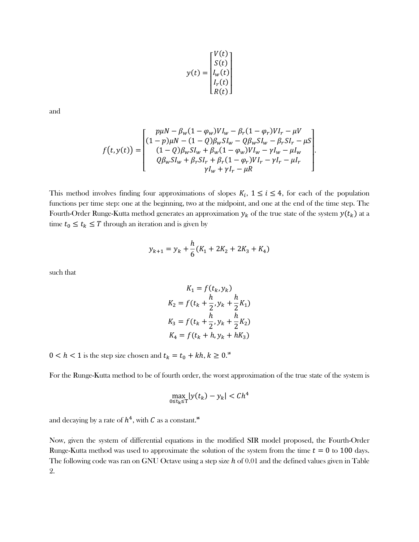$$
y(t) = \begin{bmatrix} V(t) \\ S(t) \\ I_w(t) \\ I_r(t) \\ R(t) \end{bmatrix}
$$

and

$$
f(t,y(t)) = \begin{bmatrix} p\mu N - \beta_w (1 - \varphi_w) V I_w - \beta_r (1 - \varphi_r) V I_r - \mu V \\ (1 - p)\mu N - (1 - Q)\beta_w S I_w - Q \beta_w S I_w - \beta_r S I_r - \mu S \\ (1 - Q)\beta_w S I_w + \beta_w (1 - \varphi_w) V I_w - \gamma I_w - \mu I_w \\ Q \beta_w S I_w + \beta_r S I_r + \beta_r (1 - \varphi_r) V I_r - \gamma I_r - \mu I_r \\ \gamma I_w + \gamma I_r - \mu R \end{bmatrix}.
$$

This method involves finding four approximations of slopes  $K_i$ ,  $1 \le i \le 4$ , for each of the population functions per time step: one at the beginning, two at the midpoint, and one at the end of the time step. The Fourth-Order Runge-Kutta method generates an approximation  $y_k$  of the true state of the system  $y(t_k)$  at a time  $t_0 \leq t_k \leq T$  through an iteration and is given by

$$
y_{k+1} = y_k + \frac{h}{6}(K_1 + 2K_2 + 2K_3 + K_4)
$$

such that

$$
K_1 = f(t_k, y_k)
$$
  
\n
$$
K_2 = f(t_k + \frac{h}{2}, y_k + \frac{h}{2}K_1)
$$
  
\n
$$
K_3 = f(t_k + \frac{h}{2}, y_k + \frac{h}{2}K_2)
$$
  
\n
$$
K_4 = f(t_k + h, y_k + hK_3)
$$

 $0 < h < 1$  is the step size chosen and  $t_k = t_0 + kh, k \ge 0$ .<sup>16</sup>

For the Runge-Kutta method to be of fourth order, the worst approximation of the true state of the system is

$$
\max_{0 \le t_k \le T} |y(t_k) - y_k| < Ch^4
$$

and decaying by a rate of  $h^4$ , with  ${\cal C}$  as a constant. $^{\text{\tiny{16}}}$ 

Now, given the system of differential equations in the modified SIR model proposed, the Fourth-Order Runge-Kutta method was used to approximate the solution of the system from the time  $t = 0$  to 100 days. The following code was ran on GNU Octave using a step size  $h$  of 0.01 and the defined values given in Table 2.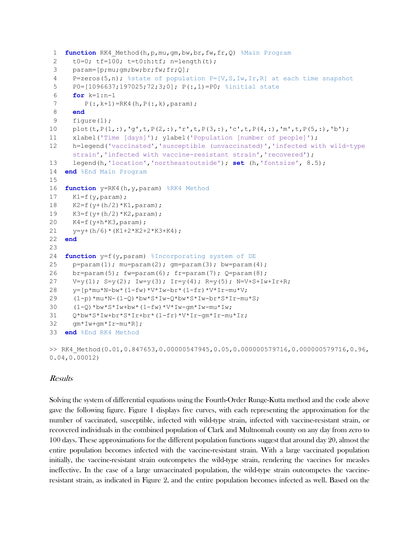```
1 function RK4_Method(h,p,mu,gm,bw,br,fw,fr,Q) %Main Program
 2 t0=0; tf=100; t=t0:h:tf; n=length(t);
 3 param=[p;mu;gm;bw;br;fw;fr;Q];
 4 P=zeros(5,n); %state of population P=[V,S,Iw,Ir,R] at each time snapshot
 5 P0=[1096637;197025;72;3;0]; P(:,1)=P0; %initial state 
 6 for k=1:n-1
 7 P(:,k+1)=RK4(h,P(:,k),param);
 8 end
 9 figure(1);
10 plot(t,P(1,:),'q',t,P(2,:),'r',t,P(3,:),'c',t,P(4,:),'m',t,P(5,:),'b');
11 xlabel('Time [days]'); ylabel('Population [number of people]');
12 h=legend('vaccinated','susceptible (unvaccinated)','infected with wild-type 
      strain', 'infected with vaccine-resistant strain', 'recovered');
13 legend(h,'location','northeastoutside'); set (h,'fontsize', 8.5); 
14 end %End Main Program
15
16 function y=RK4(h, y, param) %RK4 Method
17 K1=f(y, param);18 K2 = f(y + (h/2) * K1, \text{param});19 K3=f(y+(h/2) *K2, param);
20 K4=f(y+h*K3,param);
21 y=y+(h/6)*(K1+2*K2+2*K3+K4);22 end
23
24 function y=f(y,param) %Incorporating system of DE
25 p=param(1); mu=param(2); qm=param(3); bw=param(4);
26 br=param(5); fw=param(6); fr=param(7); Q=param(8);
27 V=y(1); S=y(2); Iw=y(3); Ir=y(4); R=y(5); N=V+S+Iw+Ir+R;
28 y=[p*mu*N-bw*(1-fw)*V*Iw-br*(1-fr)*V*Ir-mu*V;29 (1-p)*mu*N-(1-Q)*bw*S*Iw-Q*bw*S*Iw-br*S*Ir-mu*S;
30 (1-Q) * bw * S * I w + bw * (1-f w) * V * I w - qm * I w - m u * I w;31 Q*bw*S*Iw+br*S*Ir+br*(1-fr)*V*Ir-gm*Ir-mu*Ir;
32 gm*Iw+gm*Ir-mu*R];
33 end %End RK4 Method
>> RK4_Method(0.01,0.847653,0.00000547945,0.05,0.000000579716,0.000000579716,0.96,
```
#### Results

0.04,0.00012)

Solving the system of differential equations using the Fourth-Order Runge-Kutta method and the code above gave the following figure. Figure 1 displays five curves, with each representing the approximation for the number of vaccinated, susceptible, infected with wild-type strain, infected with vaccine-resistant strain, or recovered individuals in the combined population of Clark and Multnomah county on any day from zero to 100 days. These approximations for the different population functions suggest that around day 20, almost the entire population becomes infected with the vaccine-resistant strain. With a large vaccinated population initially, the vaccine-resistant strain outcompetes the wild-type strain, rendering the vaccines for measles ineffective. In the case of a large unvaccinated population, the wild-type strain outcompetes the vaccineresistant strain, as indicated in Figure 2, and the entire population becomes infected as well. Based on the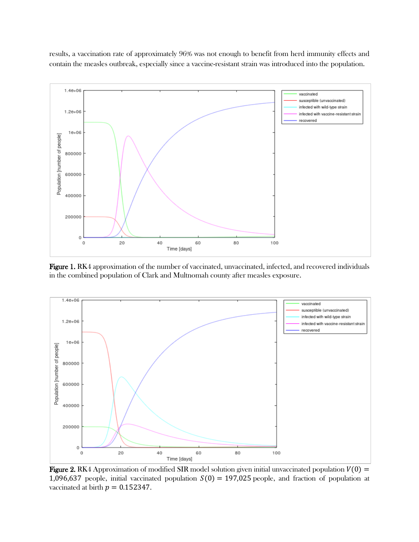results, a vaccination rate of approximately 96% was not enough to benefit from herd immunity effects and contain the measles outbreak, especially since a vaccine-resistant strain was introduced into the population.



Figure 1. RK4 approximation of the number of vaccinated, unvaccinated, infected, and recovered individuals in the combined population of Clark and Multnomah county after measles exposure.



**Figure 2.** RK4 Approximation of modified SIR model solution given initial unvaccinated population  $V(0) =$ 1,096,637 people, initial vaccinated population  $S(0) = 197,025$  people, and fraction of population at vaccinated at birth  $p = 0.152347$ .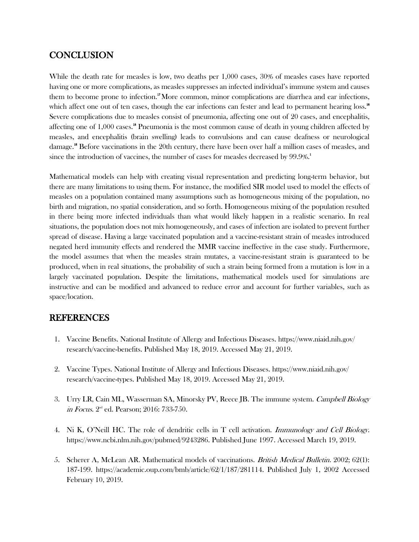## **CONCLUSION**

While the death rate for measles is low, two deaths per 1,000 cases, 30% of measles cases have reported having one or more complications, as measles suppresses an infected individual's immune system and causes them to become prone to infection. 17 More common, minor complications are diarrhea and ear infections, which affect one out of ten cases, though the ear infections can fester and lead to permanent hearing loss.<sup>18</sup> Severe complications due to measles consist of pneumonia, affecting one out of 20 cases, and encephalitis, affecting one of 1,000 cases.<sup>18</sup> Pneumonia is the most common cause of death in young children affected by measles, and encephalitis (brain swelling) leads to convulsions and can cause deafness or neurological damage.18 Before vaccinations in the 20th century, there have been over half a million cases of measles, and since the introduction of vaccines, the number of cases for measles decreased by 99.9%. 1

Mathematical models can help with creating visual representation and predicting long-term behavior, but there are many limitations to using them. For instance, the modified SIR model used to model the effects of measles on a population contained many assumptions such as homogeneous mixing of the population, no birth and migration, no spatial consideration, and so forth. Homogeneous mixing of the population resulted in there being more infected individuals than what would likely happen in a realistic scenario. In real situations, the population does not mix homogeneously, and cases of infection are isolated to prevent further spread of disease. Having a large vaccinated population and a vaccine-resistant strain of measles introduced negated herd immunity effects and rendered the MMR vaccine ineffective in the case study. Furthermore, the model assumes that when the measles strain mutates, a vaccine-resistant strain is guaranteed to be produced, when in real situations, the probability of such a strain being formed from a mutation is low in a largely vaccinated population. Despite the limitations, mathematical models used for simulations are instructive and can be modified and advanced to reduce error and account for further variables, such as space/location.

## REFERENCES

- 1. Vaccine Benefits. National Institute of Allergy and Infectious Diseases. https://www.niaid.nih.gov/ research/vaccine-benefits. Published May 18, 2019. Accessed May 21, 2019.
- 2. Vaccine Types. National Institute of Allergy and Infectious Diseases. https://www.niaid.nih.gov/ research/vaccine-types. Published May 18, 2019. Accessed May 21, 2019.
- 3. Urry LR, Cain ML, Wasserman SA, Minorsky PV, Reece JB. The immune system. Campbell Biology *in Focus.*  $2<sup>nd</sup>$  ed. Pearson; 2016: 733-750.
- 4. Ni K, O'Neill HC. The role of dendritic cells in T cell activation. Immunology and Cell Biology. https://www.ncbi.nlm.nih.gov/pubmed/9243286. Published June 1997. Accessed March 19, 2019.
- 5. Scherer A, McLean AR. Mathematical models of vaccinations. *British Medical Bulletin.* 2002; 62(1): 187-199. https://academic.oup.com/bmb/article/62/1/187/281114. Published July 1, 2002 Accessed February 10, 2019.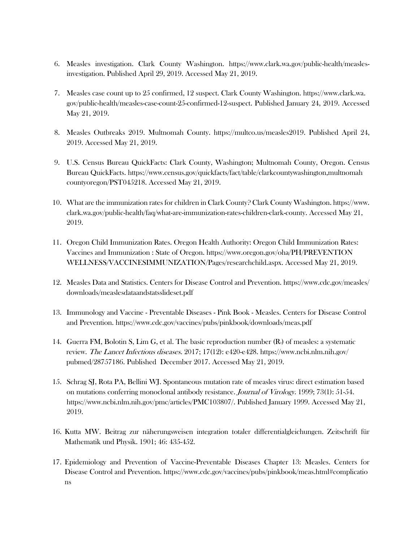- 6. Measles investigation. Clark County Washington. https://www.clark.wa.gov/public-health/measlesinvestigation. Published April 29, 2019. Accessed May 21, 2019.
- 7. Measles case count up to 25 confirmed, 12 suspect. Clark County Washington. https://www.clark.wa. gov/public-health/measles-case-count-25-confirmed-12-suspect. Published January 24, 2019. Accessed May 21, 2019.
- 8. Measles Outbreaks 2019. Multnomah County. https://multco.us/measles2019. Published April 24, 2019. Accessed May 21, 2019.
- 9. U.S. Census Bureau QuickFacts: Clark County, Washington; Multnomah County, Oregon. Census Bureau QuickFacts. https://www.census.gov/quickfacts/fact/table/clarkcountywashington,multnomah countyoregon/PST045218. Accessed May 21, 2019.
- 10. What are the immunization rates for children in Clark County? Clark County Washington. https://www. clark.wa.gov/public-health/faq/what-are-immunization-rates-children-clark-county. Accessed May 21, 2019.
- 11. Oregon Child Immunization Rates. Oregon Health Authority: Oregon Child Immunization Rates: Vaccines and Immunization : State of Oregon. https://www.oregon.gov/oha/PH/PREVENTION WELLNESS/VACCINESIMMUNIZATION/Pages/researchchild.aspx. Accessed May 21, 2019.
- 12. Measles Data and Statistics. Centers for Disease Control and Prevention. https://www.cdc.gov/measles/ downloads/measlesdataandstatsslideset.pdf
- 13. Immunology and Vaccine Preventable Diseases Pink Book Measles. Centers for Disease Control and Prevention. https://www.cdc.gov/vaccines/pubs/pinkbook/downloads/meas.pdf
- 14. Guerra FM, Bolotin S, Lim G, et al. The basic reproduction number (R<sub>0</sub>) of measles: a systematic review. The Lancet Infectious diseases. 2017; 17(12): e420-e428. https://www.ncbi.nlm.nih.gov/ pubmed/28757186. Published December 2017. Accessed May 21, 2019.
- 15. Schrag SJ, Rota PA, Bellini WJ. Spontaneous mutation rate of measles virus: direct estimation based on mutations conferring monoclonal antibody resistance. Journal of Virology. 1999; 73(1): 51-54. https://www.ncbi.nlm.nih.gov/pmc/articles/PMC103807/. Published January 1999. Accessed May 21, 2019.
- 16. Kutta MW. Beitrag zur näherungsweisen integration totaler differentialgleichungen. Zeitschrift für Mathematik und Physik. 1901; 46: 435-452.
- 17. Epidemiology and Prevention of Vaccine-Preventable Diseases Chapter 13: Measles. Centers for Disease Control and Prevention. https://www.cdc.gov/vaccines/pubs/pinkbook/meas.html#complicatio ns